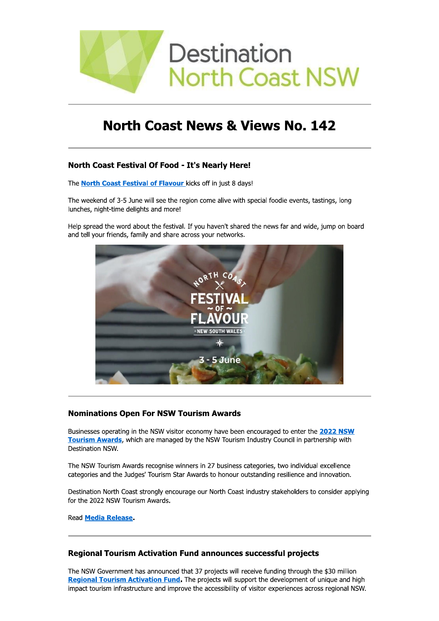

# **North Coast News & Views No. 142**

# North Coast Festival Of Food - It's Nearly Here!

The **North Coast Festival of Flavour** kicks off in just 8 days!

The weekend of 3-5 June will see the region come alive with special foodie events, tastings, long lunches, night-time delights and more!

Help spread the word about the festival. If you haven't shared the news far and wide, jump on board and tell your friends, family and share across your networks.



# **Nominations Open For NSW Tourism Awards**

Businesses operating in the NSW visitor economy have been encouraged to enter the 2022 NSW Tourism Awards, which are managed by the NSW Tourism Industry Council in partnership with Destination NSW.

The NSW Tourism Awards recognise winners in 27 business categories, two individual excellence categories and the Judges' Tourism Star Awards to honour outstanding resilience and innovation.

Destination North Coast strongly encourage our North Coast industry stakeholders to consider applying for the 2022 NSW Tourism Awards.

Read Media Release.

# **Regional Tourism Activation Fund announces successful projects**

The NSW Government has announced that 37 projects will receive funding through the \$30 million Regional Tourism Activation Fund. The projects will support the development of unique and high impact tourism infrastructure and improve the accessibility of visitor experiences across regional NSW.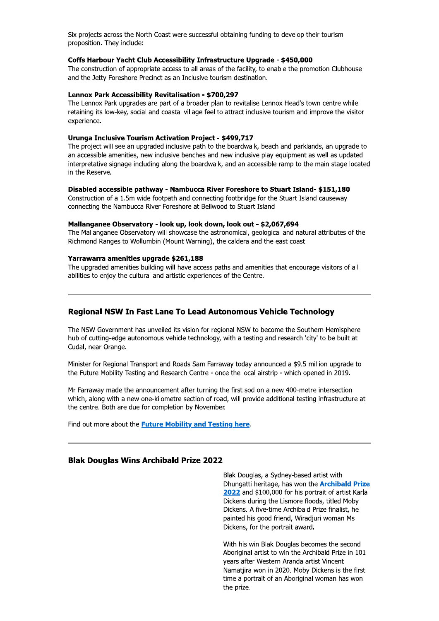Six projects across the North Coast were successful obtaining funding to develop their tourism proposition. They include:

#### Coffs Harbour Yacht Club Accessibility Infrastructure Upgrade - \$450,000

The construction of appropriate access to all areas of the facility, to enable the promotion Clubhouse and the Jetty Foreshore Precinct as an Inclusive tourism destination.

#### Lennox Park Accessibility Revitalisation - \$700,297

The Lennox Park upgrades are part of a broader plan to revitalise Lennox Head's town centre while retaining its low-key, social and coastal village feel to attract inclusive tourism and improve the visitor experience.

### Urunga Inclusive Tourism Activation Project - \$499,717

The project will see an upgraded inclusive path to the boardwalk, beach and parklands, an upgrade to an accessible amenities, new inclusive benches and new inclusive play equipment as well as updated interpretative signage including along the boardwalk, and an accessible ramp to the main stage located in the Reserve.

#### Disabled accessible pathway - Nambucca River Foreshore to Stuart Island- \$151,180

Construction of a 1.5m wide footpath and connecting footbridge for the Stuart Island causeway connecting the Nambucca River Foreshore at Bellwood to Stuart Island

### Mallanganee Observatory - look up, look down, look out - \$2,067,694

The Mallanganee Observatory will showcase the astronomical, geological and natural attributes of the Richmond Ranges to Wollumbin (Mount Warning), the caldera and the east coast.

#### Yarrawarra amenities upgrade \$261,188

The upgraded amenities building will have access paths and amenities that encourage visitors of all abilities to enjoy the cultural and artistic experiences of the Centre.

# Regional NSW In Fast Lane To Lead Autonomous Vehicle Technology

The NSW Government has unveiled its vision for regional NSW to become the Southern Hemisphere hub of cutting-edge autonomous vehicle technology, with a testing and research 'city' to be built at Cudal, near Orange.

Minister for Regional Transport and Roads Sam Farraway today announced a \$9.5 million upgrade to the Future Mobility Testing and Research Centre - once the local airstrip - which opened in 2019.

Mr Farraway made the announcement after turning the first sod on a new 400-metre intersection which, along with a new one-kilometre section of road, will provide additional testing infrastructure at the centre. Both are due for completion by November.

Find out more about the Future Mobility and Testing here.

# **Blak Douglas Wins Archibald Prize 2022**

Blak Douglas, a Sydney-based artist with Dhungatti heritage, has won the **Archibald Prize** 2022 and \$100,000 for his portrait of artist Karla Dickens during the Lismore floods, titled Moby Dickens. A five-time Archibald Prize finalist, he painted his good friend, Wiradjuri woman Ms Dickens, for the portrait award.

With his win Blak Douglas becomes the second Aboriginal artist to win the Archibald Prize in 101 vears after Western Aranda artist Vincent Namatjira won in 2020. Moby Dickens is the first time a portrait of an Aboriginal woman has won the prize.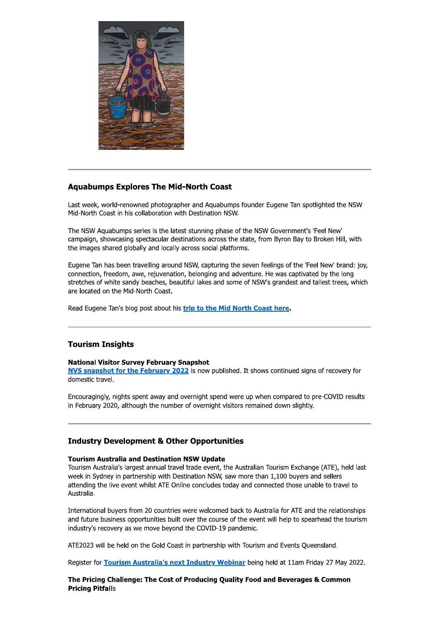

# **Aquabumps Explores The Mid-North Coast**

Last week, world-renowned photographer and Aquabumps founder Eugene Tan spotlighted the NSW Mid-North Coast in his collaboration with Destination NSW.

The NSW Aquabumps series is the latest stunning phase of the NSW Government's 'Feel New' campaign, showcasing spectacular destinations across the state, from Byron Bay to Broken Hill, with the images shared globally and locally across social platforms.

Eugene Tan has been travelling around NSW, capturing the seven feelings of the 'Feel New' brand: joy, connection, freedom, awe, rejuvenation, belonging and adventure. He was captivated by the long stretches of white sandy beaches, beautiful lakes and some of NSW's grandest and tallest trees, which are located on the Mid-North Coast.

Read Eugene Tan's blog post about his trip to the Mid North Coast here.

# **Tourism Insights**

# **National Visitor Survey February Snapshot**

NVS snapshot for the February 2022 is now published. It shows continued signs of recovery for domestic travel.

Encouragingly, nights spent away and overnight spend were up when compared to pre-COVID results in February 2020, although the number of overnight visitors remained down slightly.

# **Industry Development & Other Opportunities**

# **Tourism Australia and Destination NSW Update**

Tourism Australia's largest annual travel trade event, the Australian Tourism Exchange (ATE), held last week in Sydney in partnership with Destination NSW, saw more than 1,100 buyers and sellers attending the live event whilst ATE Online concludes today and connected those unable to travel to Australia.

International buyers from 20 countries were welcomed back to Australia for ATE and the relationships and future business opportunities built over the course of the event will help to spearhead the tourism industry's recovery as we move beyond the COVID-19 pandemic.

ATE2023 will be held on the Gold Coast in partnership with Tourism and Events Queensland.

Register for Tourism Australia's next Industry Webinar being held at 11am Friday 27 May 2022.

The Pricing Challenge: The Cost of Producing Ouality Food and Beverages & Common **Pricing Pitfalls**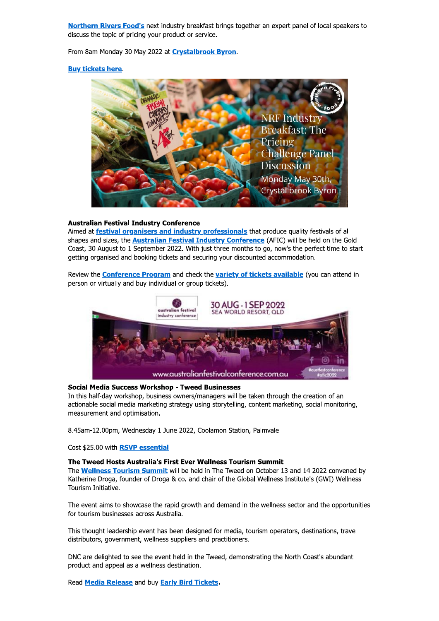Northern Rivers Food's next industry breakfast brings together an expert panel of local speakers to discuss the topic of pricing your product or service.

From 8am Monday 30 May 2022 at **Crystalbrook Byron**.

### **Buy tickets here**



# **Australian Festival Industry Conference**

Aimed at festival organisers and industry professionals that produce quality festivals of all shapes and sizes, the **Australian Festival Industry Conference** (AFIC) will be held on the Gold Coast, 30 August to 1 September 2022. With just three months to go, now's the perfect time to start getting organised and booking tickets and securing your discounted accommodation.

Review the **Conference Program** and check the variety of tickets available (you can attend in person or virtually and buy individual or group tickets).



### **Social Media Success Workshop - Tweed Businesses**

In this half-day workshop, business owners/managers will be taken through the creation of an actionable social media marketing strategy using storytelling, content marketing, social monitoring, measurement and optimisation.

8.45am-12.00pm, Wednesday 1 June 2022, Coolamon Station, Palmvale

Cost \$25.00 with RSVP essential

### The Tweed Hosts Australia's First Ever Wellness Tourism Summit

The **Wellness Tourism Summit** will be held in The Tweed on October 13 and 14 2022 convened by Katherine Droga, founder of Droga & co. and chair of the Global Wellness Institute's (GWI) Wellness Tourism Initiative.

The event aims to showcase the rapid growth and demand in the wellness sector and the opportunities for tourism businesses across Australia.

This thought leadership event has been designed for media, tourism operators, destinations, travel distributors, government, wellness suppliers and practitioners.

DNC are delighted to see the event held in the Tweed, demonstrating the North Coast's abundant product and appeal as a wellness destination.

Read Media Release and buy Early Bird Tickets.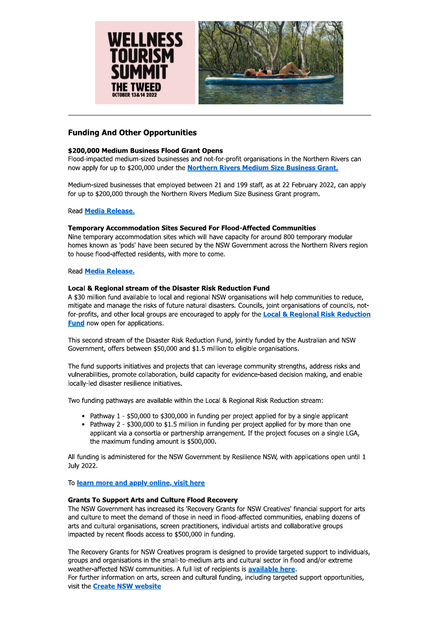



# **Funding And Other Opportunities**

# \$200,000 Medium Business Flood Grant Opens

Flood-impacted medium-sized businesses and not-for-profit organisations in the Northern Rivers can now apply for up to \$200,000 under the Northern Rivers Medium Size Business Grant.

Medium-sized businesses that employed between 21 and 199 staff, as at 22 February 2022, can apply for up to \$200,000 through the Northern Rivers Medium Size Business Grant program.

**Read Media Release.** 

### **Temporary Accommodation Sites Secured For Flood-Affected Communities**

Nine temporary accommodation sites which will have capacity for around 800 temporary modular homes known as 'pods' have been secured by the NSW Government across the Northern Rivers region to house flood-affected residents, with more to come.

### **Read Media Release.**

### Local & Regional stream of the Disaster Risk Reduction Fund

A \$30 million fund available to local and regional NSW organisations will help communities to reduce, mitigate and manage the risks of future natural disasters. Councils, joint organisations of councils, notfor-profits, and other local groups are encouraged to apply for the **Local & Regional Risk Reduction Fund** now open for applications.

This second stream of the Disaster Risk Reduction Fund, jointly funded by the Australian and NSW Government, offers between \$50,000 and \$1.5 million to eligible organisations.

The fund supports initiatives and projects that can leverage community strengths, address risks and vulnerabilities, promote collaboration, build capacity for evidence-based decision making, and enable locally-led disaster resilience initiatives.

Two funding pathways are available within the Local & Regional Risk Reduction stream:

- Pathway 1 \$50,000 to \$300,000 in funding per project applied for by a single applicant
- Pathway 2 \$300,000 to \$1.5 million in funding per project applied for by more than one applicant via a consortia or partnership arrangement. If the project focuses on a single LGA, the maximum funding amount is \$500,000.

All funding is administered for the NSW Government by Resilience NSW, with applications open until 1 July 2022.

# To learn more and apply online, visit here

# **Grants To Support Arts and Culture Flood Recovery**

The NSW Government has increased its 'Recovery Grants for NSW Creatives' financial support for arts and culture to meet the demand of those in need in flood-affected communities, enabling dozens of arts and cultural organisations, screen practitioners, individual artists and collaborative groups impacted by recent floods access to \$500,000 in funding.

The Recovery Grants for NSW Creatives program is designed to provide targeted support to individuals, groups and organisations in the small-to-medium arts and cultural sector in flood and/or extreme weather-affected NSW communities. A full list of recipients is **available here**. For further information on arts, screen and cultural funding, including targeted support opportunities, visit the **Create NSW website**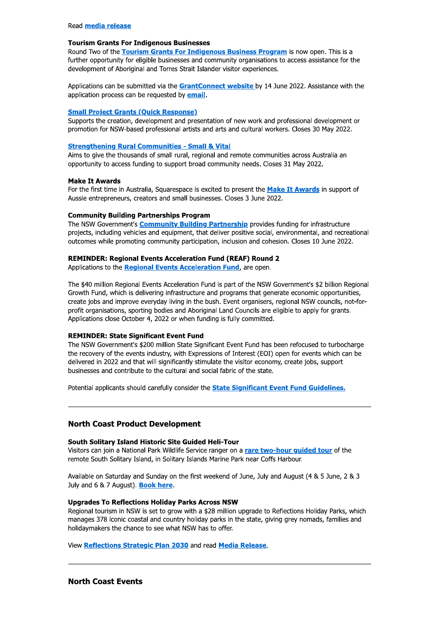### **Tourism Grants For Indigenous Businesses**

Round Two of the Tourism Grants For Indigenous Business Program is now open. This is a further opportunity for eligible businesses and community organisations to access assistance for the development of Aboriginal and Torres Strait Islander visitor experiences.

Applications can be submitted via the GrantConnect website by 14 June 2022. Assistance with the application process can be requested by email.

### **Small Project Grants (Quick Response)**

Supports the creation, development and presentation of new work and professional development or promotion for NSW-based professional artists and arts and cultural workers. Closes 30 May 2022.

#### **Strengthening Rural Communities - Small & Vital**

Aims to give the thousands of small rural, regional and remote communities across Australia an opportunity to access funding to support broad community needs. Closes 31 May 2022.

#### **Make It Awards**

For the first time in Australia, Squarespace is excited to present the Make It Awards in support of Aussie entrepreneurs, creators and small businesses. Closes 3 June 2022.

### **Community Building Partnerships Program**

The NSW Government's **Community Building Partnership** provides funding for infrastructure projects, including vehicles and equipment, that deliver positive social, environmental, and recreational outcomes while promoting community participation, inclusion and cohesion. Closes 10 June 2022.

### **REMINDER: Regional Events Acceleration Fund (REAF) Round 2**

Applications to the Regional Events Acceleration Fund, are open.

The \$40 million Regional Events Acceleration Fund is part of the NSW Government's \$2 billion Regional Growth Fund, which is delivering infrastructure and programs that generate economic opportunities, create jobs and improve everyday living in the bush. Event organisers, regional NSW councils, not-forprofit organisations, sporting bodies and Aboriginal Land Councils are eligible to apply for grants. Applications close October 4, 2022 or when funding is fully committed.

### **REMINDER: State Significant Event Fund**

The NSW Government's \$200 million State Significant Event Fund has been refocused to turbocharge the recovery of the events industry, with Expressions of Interest (EOI) open for events which can be delivered in 2022 and that will significantly stimulate the visitor economy, create jobs, support businesses and contribute to the cultural and social fabric of the state.

Potential applicants should carefully consider the State Significant Event Fund Guidelines.

# **North Coast Product Development**

#### South Solitary Island Historic Site Guided Heli-Tour

Visitors can join a National Park Wildlife Service ranger on a rare two-hour guided tour of the remote South Solitary Island, in Solitary Islands Marine Park near Coffs Harbour.

Available on Saturday and Sunday on the first weekend of June, July and August (4 & 5 June, 2 & 3 July and 6 & 7 August). Book here.

### **Upgrades To Reflections Holiday Parks Across NSW**

Regional tourism in NSW is set to grow with a \$28 million upgrade to Reflections Holiday Parks, which manages 378 iconic coastal and country holiday parks in the state, giving grey nomads, families and holidaymakers the chance to see what NSW has to offer.

View Reflections Strategic Plan 2030 and read Media Release.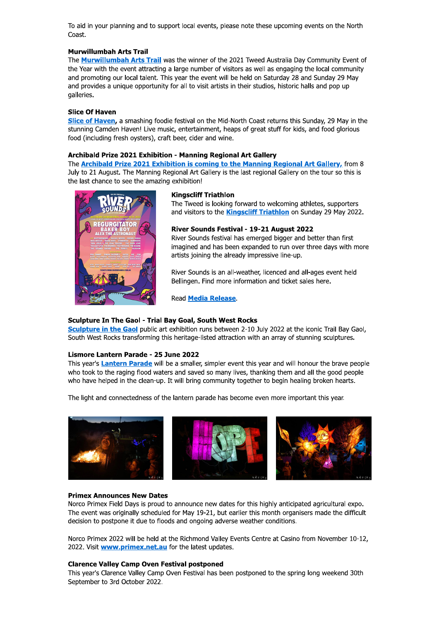To aid in your planning and to support local events, please note these upcoming events on the North Coast.

### **Murwillumbah Arts Trail**

The Murwillumbah Arts Trail was the winner of the 2021 Tweed Australia Day Community Event of the Year with the event attracting a large number of visitors as well as engaging the local community and promoting our local talent. This year the event will be held on Saturday 28 and Sunday 29 May and provides a unique opportunity for all to visit artists in their studios, historic halls and pop up galleries.

### **Slice Of Haven**

Slice of Haven, a smashing foodie festival on the Mid-North Coast returns this Sunday, 29 May in the stunning Camden Haven! Live music, entertainment, heaps of great stuff for kids, and food glorious food (including fresh oysters), craft beer, cider and wine.

### Archibald Prize 2021 Exhibition - Manning Regional Art Gallery

The Archibald Prize 2021 Exhibition is coming to the Manning Regional Art Gallery, from 8 July to 21 August. The Manning Regional Art Gallery is the last regional Gallery on the tour so this is the last chance to see the amazing exhibition!



#### **Kingscliff Triathlon**

The Tweed is looking forward to welcoming athletes, supporters and visitors to the **Kingscliff Triathlon** on Sunday 29 May 2022.

### River Sounds Festival - 19-21 August 2022

River Sounds festival has emerged bigger and better than first imagined and has been expanded to run over three days with more artists joining the already impressive line-up.

River Sounds is an all-weather, licenced and all-ages event held Bellingen. Find more information and ticket sales here.

**Read Media Release.** 

### **Sculpture In The Gaol - Trial Bay Goal, South West Rocks**

Sculpture in the Gaol public art exhibition runs between 2-10 July 2022 at the iconic Trail Bay Gaol. South West Rocks transforming this heritage-listed attraction with an array of stunning sculptures.

# Lismore Lantern Parade - 25 June 2022

This year's Lantern Parade will be a smaller, simpler event this year and will honour the brave people who took to the raging flood waters and saved so many lives, thanking them and all the good people who have helped in the clean-up. It will bring community together to begin healing broken hearts.

The light and connectedness of the lantern parade has become even more important this year.



### **Primex Announces New Dates**

Norco Primex Field Days is proud to announce new dates for this highly anticipated agricultural expo. The event was originally scheduled for May 19-21, but earlier this month organisers made the difficult decision to postpone it due to floods and ongoing adverse weather conditions.

Norco Primex 2022 will be held at the Richmond Valley Events Centre at Casino from November 10-12. 2022. Visit **www.primex.net.au** for the latest updates.

### **Clarence Valley Camp Oven Festival postponed**

This year's Clarence Valley Camp Oven Festival has been postponed to the spring long weekend 30th September to 3rd October 2022.